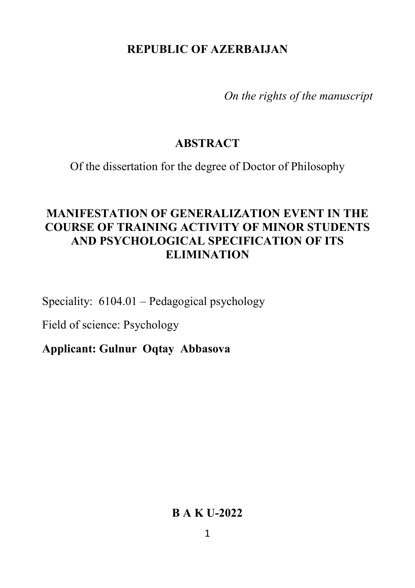## **REPUBLIC OF AZERBAIJAN**

*On the rights of the manuscript*

### **ABSTRACT**

Of the dissertation for the degree of Doctor of Philosophy

# **MANIFESTATION OF GENERALIZATION EVENT IN THE COURSE OF TRAINING ACTIVITY OF MINOR STUDENTS AND PSYCHOLOGICAL SPECIFICATION OF ITS ELIMINATION**

Speciality: 6104.01 – Pedagogical psychology

Field of science: Psychology

**Applicant: Gulnur Oqtay Abbasova**

#### **B A K U-2022**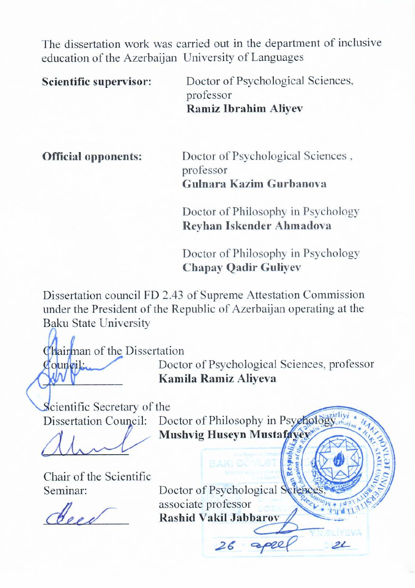The dissertation work was carried out in the department of inclusive education of the Azerbaijan University of Languages

**Scientific supervisor:** Doctor of Psychological Sciences,<br>professor professor **Ramiz Ibrahim Aliyev**

**Official opponents:** Doctor of Psychological Sciences , professor **Gulnara Kazim Gurbanova** 

> Doctor of Philosophy in Psychology **Reyhan Iskender Ahmadova**

> Doctor of Philosophy in Psychology **Chapay Qadir Guliyev**

Dissertation council FD 2.43 of Supreme Attestation Commission under the President of the Republic of Azerbaijan operating at the Baku State University

Chairman of the Dissertation

**Zouncil:** Doctor of Psychological Sciences, professor \_\_\_\_\_\_\_\_\_\_\_\_\_ **Kamila Ramiz Aliyeva**

 $\mathcal{Z}_{\mathcal{L}}$ 

Scientific Secretary of the

 $\sqrt{111}$ 

Chair of the Scientific

Dissertation Council: Doctor of Philosophy in Psychology<sub>ch</sub> **Mushvig Huseyn Mustafayev**

Seminar: Doctor of Psychological Science associate professor associate professor<br>Rashid Vakil Jabbarov

 $26$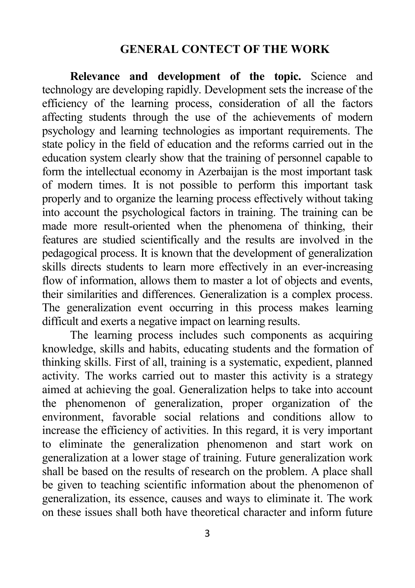#### **GENERAL CONTECT OF THE WORK**

**Relevance and development of the topic.** Science and technology are developing rapidly. Development sets the increase of the efficiency of the learning process, consideration of all the factors affecting students through the use of the achievements of modern psychology and learning technologies as important requirements. The state policy in the field of education and the reforms carried out in the education system clearly show that the training of personnel capable to form the intellectual economy in Azerbaijan is the most important task of modern times. It is not possible to perform this important task properly and to organize the learning process effectively without taking into account the psychological factors in training. The training can be made more result-oriented when the phenomena of thinking, their features are studied scientifically and the results are involved in the pedagogical process. It is known that the development of generalization skills directs students to learn more effectively in an ever-increasing flow of information, allows them to master a lot of objects and events, their similarities and differences. Generalization is a complex process. The generalization event occurring in this process makes learning difficult and exerts a negative impact on learning results.

The learning process includes such components as acquiring knowledge, skills and habits, educating students and the formation of thinking skills. First of all, training is a systematic, expedient, planned activity. The works carried out to master this activity is a strategy aimed at achieving the goal. Generalization helps to take into account the phenomenon of generalization, proper organization of the environment, favorable social relations and conditions allow to increase the efficiency of activities. In this regard, it is very important to eliminate the generalization phenomenon and start work on generalization at a lower stage of training. Future generalization work shall be based on the results of research on the problem. A place shall be given to teaching scientific information about the phenomenon of generalization, its essence, causes and ways to eliminate it. The work on these issues shall both have theoretical character and inform future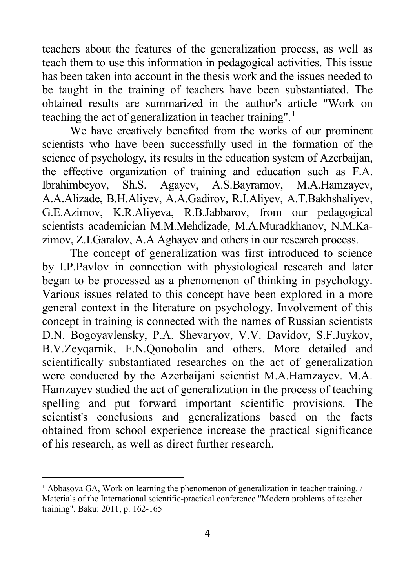teachers about the features of the generalization process, as well as teach them to use this information in pedagogical activities. This issue has been taken into account in the thesis work and the issues needed to be taught in the training of teachers have been substantiated. The obtained results are summarized in the author's article "Work on teaching the act of generalization in teacher training".<sup>[1](#page-3-0)</sup>

We have creatively benefited from the works of our prominent scientists who have been successfully used in the formation of the science of psychology, its results in the education system of Azerbaijan, the effective organization of training and education such as F.A. Ibrahimbeyov, Sh.S. Agayev, A.S.Bayramov, M.A.Hamzayev, A.A.Alizade, B.H.Aliyev, A.A.Gadirov, R.I.Aliyev, A.T.Bakhshaliyev, G.E.Azimov, K.R.Aliyeva, R.B.Jabbarov, from our pedagogical scientists academician M.M.Mehdizade, M.A.Muradkhanov, N.M.Kazimov, Z.I.Garalov, A.A Aghayev and others in our research process.

The concept of generalization was first introduced to science by I.P.Pavlov in connection with physiological research and later began to be processed as a phenomenon of thinking in psychology. Various issues related to this concept have been explored in a more general context in the literature on psychology. Involvement of this concept in training is connected with the names of Russian scientists D.N. Bogoyavlensky, P.A. Shevaryov, V.V. Davidov, S.F.Juykov, B.V.Zeyqarnik, F.N.Qonobolin and others. More detailed and scientifically substantiated researches on the act of generalization were conducted by the Azerbaijani scientist M.A.Hamzayev. M.A. Hamzayev studied the act of generalization in the process of teaching spelling and put forward important scientific provisions. The scientist's conclusions and generalizations based on the facts obtained from school experience increase the practical significance of his research, as well as direct further research.

 $\overline{a}$ 

<span id="page-3-0"></span><sup>&</sup>lt;sup>1</sup> Abbasova GA, Work on learning the phenomenon of generalization in teacher training.  $\ell$ Materials of the International scientific-practical conference "Modern problems of teacher training". Baku: 2011, p. 162-165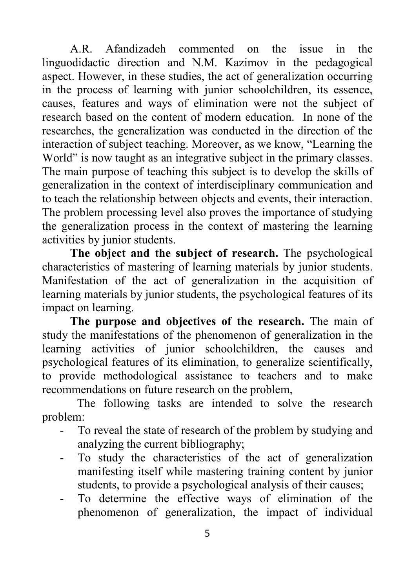A.R. Afandizadeh commented on the issue in the linguodidactic direction and N.M. Kazimov in the pedagogical aspect. However, in these studies, the act of generalization occurring in the process of learning with junior schoolchildren, its essence, causes, features and ways of elimination were not the subject of research based on the content of modern education. In none of the researches, the generalization was conducted in the direction of the interaction of subject teaching. Moreover, as we know, "Learning the World" is now taught as an integrative subject in the primary classes. The main purpose of teaching this subject is to develop the skills of generalization in the context of interdisciplinary communication and to teach the relationship between objects and events, their interaction. The problem processing level also proves the importance of studying the generalization process in the context of mastering the learning activities by junior students.

**The object and the subject of research.** The psychological characteristics of mastering of learning materials by junior students. Manifestation of the act of generalization in the acquisition of learning materials by junior students, the psychological features of its impact on learning.

**The purpose and objectives of the research.** Тhe main of study the manifestations of the phenomenon of generalization in the learning activities of junior schoolchildren, the causes and psychological features of its elimination, to generalize scientifically, to provide methodological assistance to teachers and to make recommendations on future research on the problem,

The following tasks are intended to solve the research problem:

- To reveal the state of research of the problem by studying and analyzing the current bibliography;
- To study the characteristics of the act of generalization manifesting itself while mastering training content by junior students, to provide a psychological analysis of their causes;
- To determine the effective ways of elimination of the phenomenon of generalization, the impact of individual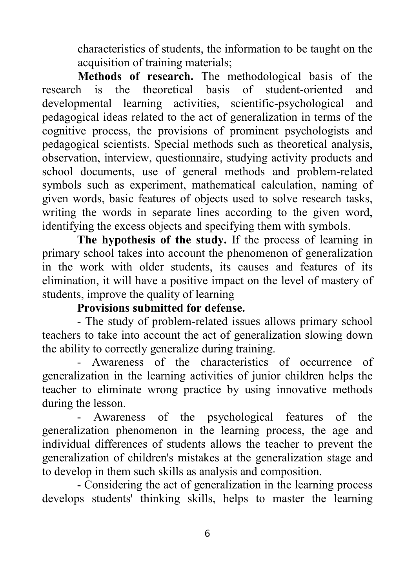characteristics of students, the information to be taught on the acquisition of training materials;

 **Methods of research.** The methodological basis of the research is the theoretical basis of student-oriented and developmental learning activities, scientific-psychological and pedagogical ideas related to the act of generalization in terms of the cognitive process, the provisions of prominent psychologists and pedagogical scientists. Special methods such as theoretical analysis, observation, interview, questionnaire, studying activity products and school documents, use of general methods and problem-related symbols such as experiment, mathematical calculation, naming of given words, basic features of objects used to solve research tasks, writing the words in separate lines according to the given word, identifying the excess objects and specifying them with symbols.

**The hypothesis of the study.** If the process of learning in primary school takes into account the phenomenon of generalization in the work with older students, its causes and features of its elimination, it will have a positive impact on the level of mastery of students, improve the quality of learning

### **Provisions submitted for defense.**

- The study of problem-related issues allows primary school teachers to take into account the act of generalization slowing down the ability to correctly generalize during training.

- Awareness of the characteristics of occurrence of generalization in the learning activities of junior children helps the teacher to eliminate wrong practice by using innovative methods during the lesson.

- Awareness of the psychological features of the generalization phenomenon in the learning process, the age and individual differences of students allows the teacher to prevent the generalization of children's mistakes at the generalization stage and to develop in them such skills as analysis and composition.

- Considering the act of generalization in the learning process develops students' thinking skills, helps to master the learning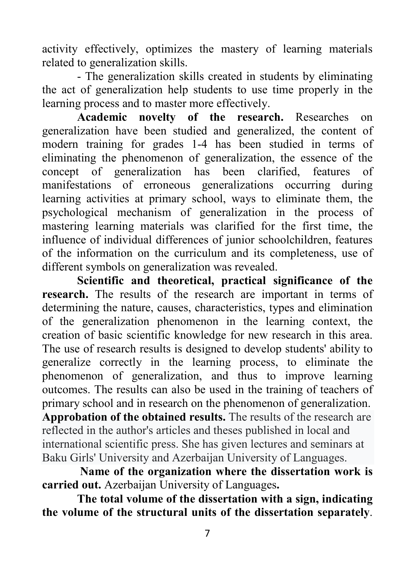activity effectively, optimizes the mastery of learning materials related to generalization skills.

- The generalization skills created in students by eliminating the act of generalization help students to use time properly in the learning process and to master more effectively.

**Academic novelty of the research.** Researches on generalization have been studied and generalized, the content of modern training for grades 1-4 has been studied in terms of eliminating the phenomenon of generalization, the essence of the concept of generalization has been clarified, features of manifestations of erroneous generalizations occurring during learning activities at primary school, ways to eliminate them, the psychological mechanism of generalization in the process of mastering learning materials was clarified for the first time, the influence of individual differences of junior schoolchildren, features of the information on the curriculum and its completeness, use of different symbols on generalization was revealed.

**Scientific and theoretical, practical significance of the research.** The results of the research are important in terms of determining the nature, causes, characteristics, types and elimination of the generalization phenomenon in the learning context, the creation of basic scientific knowledge for new research in this area. The use of research results is designed to develop students' ability to generalize correctly in the learning process, to eliminate the phenomenon of generalization, and thus to improve learning outcomes. The results can also be used in the training of teachers of primary school and in research on the phenomenon of generalization. **Approbation of the obtained results.** The results of the research are reflected in the author's articles and theses published in local and international scientific press. She has given lectures and seminars at Baku Girls' University and Azerbaijan University of Languages.

**Name of the organization where the dissertation work is carried out.** Azerbaijan University of Languages**.** 

**The total volume of the dissertation with a sign, indicating the volume of the structural units of the dissertation separately**.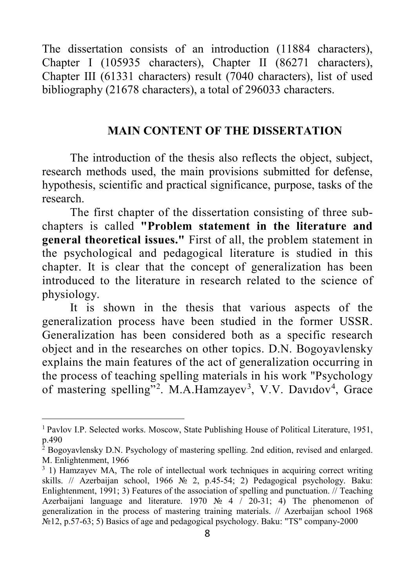The dissertation consists of an introduction (11884 characters), Chapter I (105935 characters), Chapter II (86271 characters), Chapter III (61331 characters) result (7040 characters), list of used bibliography (21678 characters), a total of 296033 characters.

#### **MAIN CONTENT OF THE DISSERTATION**

The introduction of the thesis also reflects the object, subject, research methods used, the main provisions submitted for defense, hypothesis, scientific and practical significance, purpose, tasks of the research.

The first chapter of the dissertation consisting of three subchapters is called **"Problem statement in the literature and general theoretical issues."** First of all, the problem statement in the psychological and pedagogical literature is studied in this chapter. It is clear that the concept of generalization has been introduced to the literature in research related to the science of physiology.

It is shown in the thesis that various aspects of the generalization process have been studied in the former USSR. Generalization has been considered both as a specific research object and in the researches on other topics. D.N. Bogoyavlensky explains the main features of the act of generalization occurring in the process of teaching spelling materials in his work "Psychology of mastering spelling"<sup>[2](#page-7-0)</sup>. M.A.Hamzayev<sup>[3](#page-7-1)</sup>, V.V. Davidov<sup>[4](#page-7-2)</sup>, Grace

<span id="page-7-2"></span> $\overline{a}$ 

<span id="page-7-0"></span><sup>1</sup> Pavlov I.P. Selected works. Moscow, State Publishing House of Political Literature, 1951, p.490

 $^{2}$  Bogoyavlensky D.N. Psychology of mastering spelling. 2nd edition, revised and enlarged. M. Enlightenment, 1966

<span id="page-7-1"></span><sup>&</sup>lt;sup>3</sup> 1) Hamzayev MA, The role of intellectual work techniques in acquiring correct writing skills. // Azerbaijan school, 1966 № 2, p.45-54; 2) Pedagogical psychology. Baku: Enlightenment, 1991; 3) Features of the association of spelling and punctuation. // Teaching Azerbaijani language and literature. 1970 № 4  $\binom{20-31}{1}$ ; 4) The phenomenon of generalization in the process of mastering training materials. // Azerbaijan school 1968 №12, p.57-63; 5) Basics of age and pedagogical psychology. Baku: "TS" company-2000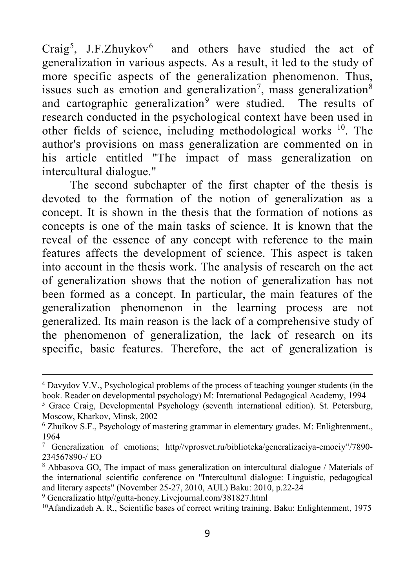Craig<sup>[5](#page-8-0)</sup>, J.F.Zhuykov<sup>[6](#page-8-1)</sup> and others have studied the act of generalization in various aspects. As a result, it led to the study of more specific aspects of the generalization phenomenon. Thus, issues such as emotion and generalization<sup>[7](#page-8-2)</sup>, mass generalization<sup>[8](#page-8-3)</sup> and cartographic generalization<sup>[9](#page-8-4)</sup> were studied. The results of research conducted in the psychological context have been used in other fields of science, including methodological works  $10$ . The author's provisions on mass generalization are commented on in his article entitled "The impact of mass generalization on intercultural dialogue."

The second subchapter of the first chapter of the thesis is devoted to the formation of the notion of generalization as a concept. It is shown in the thesis that the formation of notions as concepts is one of the main tasks of science. It is known that the reveal of the essence of any concept with reference to the main features affects the development of science. This aspect is taken into account in the thesis work. The analysis of research on the act of generalization shows that the notion of generalization has not been formed as a concept. In particular, the main features of the generalization phenomenon in the learning process are not generalized. Its main reason is the lack of a comprehensive study of the phenomenon of generalization, the lack of research on its specific, basic features. Therefore, the act of generalization is

1

<sup>4</sup> Davydov V.V., Psychological problems of the process of teaching younger students (in the book. Reader on developmental psychology) M: International Pedagogical Academy, 1994

<span id="page-8-0"></span><sup>&</sup>lt;sup>5</sup> Grace Craig, Developmental Psychology (seventh international edition). St. Petersburg, Moscow, Kharkov, Minsk, 2002

<span id="page-8-1"></span><sup>6</sup> Zhuikov S.F., Psychology of mastering grammar in elementary grades. M: Enlightenment., 1964

<span id="page-8-2"></span><sup>7</sup> Generalization of emotions; http//vprosvet.ru/biblioteka/generalizaciya-emociy"/7890- 234567890-/ EO

<span id="page-8-3"></span><sup>8</sup> Abbasova GO, The impact of mass generalization on intercultural dialogue / Materials of the international scientific conference on "Intercultural dialogue: Linguistic, pedagogical and literary aspects" (November 25-27, 2010, AUL) Baku: 2010, p.22-24

<span id="page-8-4"></span><sup>9</sup> Generalizatio http//gutta-honey.Livejournal.com/381827.html

<span id="page-8-5"></span><sup>10</sup>Afandizadeh A. R., Scientific bases of correct writing training. Baku: Enlightenment, 1975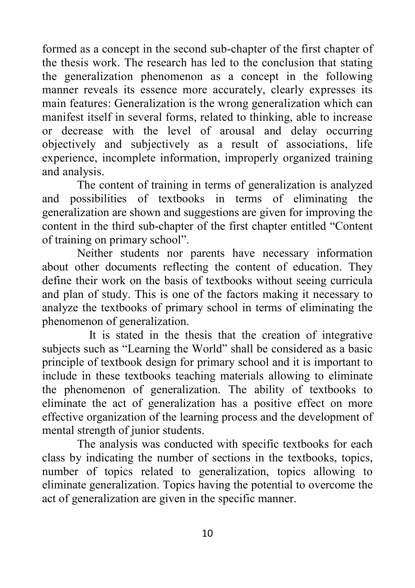formed as a concept in the second sub-chapter of the first chapter of the thesis work. The research has led to the conclusion that stating the generalization phenomenon as a concept in the following manner reveals its essence more accurately, clearly expresses its main features: Generalization is the wrong generalization which can manifest itself in several forms, related to thinking, able to increase or decrease with the level of arousal and delay occurring objectively and subjectively as a result of associations, life experience, incomplete information, improperly organized training and analysis.

The content of training in terms of generalization is analyzed and possibilities of textbooks in terms of eliminating the generalization are shown and suggestions are given for improving the content in the third sub-chapter of the first chapter entitled "Content of training on primary school".

Neither students nor parents have necessary information about other documents reflecting the content of education. They define their work on the basis of textbooks without seeing curricula and plan of study. This is one of the factors making it necessary to analyze the textbooks of primary school in terms of eliminating the phenomenon of generalization.

 It is stated in the thesis that the creation of integrative subjects such as "Learning the World" shall be considered as a basic principle of textbook design for primary school and it is important to include in these textbooks teaching materials allowing to eliminate the phenomenon of generalization. The ability of textbooks to eliminate the act of generalization has a positive effect on more effective organization of the learning process and the development of mental strength of junior students.

The analysis was conducted with specific textbooks for each class by indicating the number of sections in the textbooks, topics, number of topics related to generalization, topics allowing to eliminate generalization. Topics having the potential to overcome the act of generalization are given in the specific manner.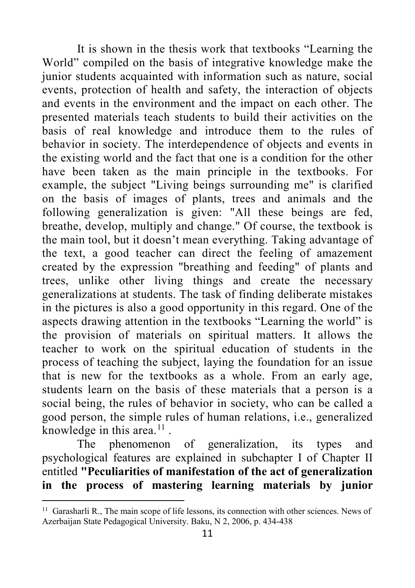It is shown in the thesis work that textbooks "Learning the World" compiled on the basis of integrative knowledge make the junior students acquainted with information such as nature, social events, protection of health and safety, the interaction of objects and events in the environment and the impact on each other. The presented materials teach students to build their activities on the basis of real knowledge and introduce them to the rules of behavior in society. The interdependence of objects and events in the existing world and the fact that one is a condition for the other have been taken as the main principle in the textbooks. For example, the subject "Living beings surrounding me" is clarified on the basis of images of plants, trees and animals and the following generalization is given: "All these beings are fed, breathe, develop, multiply and change." Of course, the textbook is the main tool, but it doesn't mean everything. Taking advantage of the text, a good teacher can direct the feeling of amazement created by the expression "breathing and feeding" of plants and trees, unlike other living things and create the necessary generalizations at students. The task of finding deliberate mistakes in the pictures is also a good opportunity in this regard. One of the aspects drawing attention in the textbooks "Learning the world" is the provision of materials on spiritual matters. It allows the teacher to work on the spiritual education of students in the process of teaching the subject, laying the foundation for an issue that is new for the textbooks as a whole. From an early age, students learn on the basis of these materials that a person is a social being, the rules of behavior in society, who can be called a good person, the simple rules of human relations, i.e., generalized knowledge in this area. $^{11}$  $^{11}$  $^{11}$ .

The phenomenon of generalization, its types and psychological features are explained in subchapter I of Chapter II entitled **"Peculiarities of manifestation of the act of generalization in the process of mastering learning materials by junior** 

 $\overline{a}$ 

<span id="page-10-0"></span><sup>&</sup>lt;sup>11</sup> Garasharli R., The main scope of life lessons, its connection with other sciences. News of Azerbaijan State Pedagogical University. Baku, N 2, 2006, p. 434-438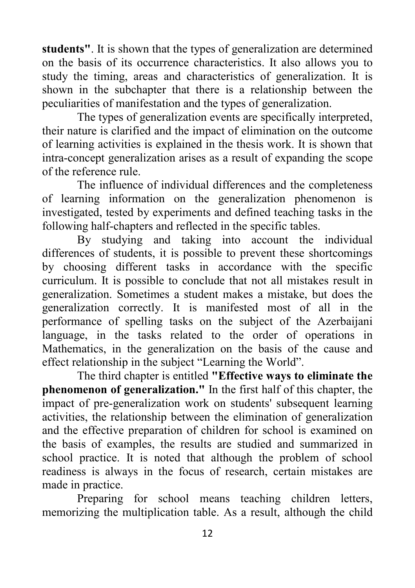**students"**. It is shown that the types of generalization are determined on the basis of its occurrence characteristics. It also allows you to study the timing, areas and characteristics of generalization. It is shown in the subchapter that there is a relationship between the peculiarities of manifestation and the types of generalization.

The types of generalization events are specifically interpreted, their nature is clarified and the impact of elimination on the outcome of learning activities is explained in the thesis work. It is shown that intra-concept generalization arises as a result of expanding the scope of the reference rule.

The influence of individual differences and the completeness of learning information on the generalization phenomenon is investigated, tested by experiments and defined teaching tasks in the following half-chapters and reflected in the specific tables.

By studying and taking into account the individual differences of students, it is possible to prevent these shortcomings by choosing different tasks in accordance with the specific curriculum. It is possible to conclude that not all mistakes result in generalization. Sometimes a student makes a mistake, but does the generalization correctly. It is manifested most of all in the performance of spelling tasks on the subject of the Azerbaijani language, in the tasks related to the order of operations in Mathematics, in the generalization on the basis of the cause and effect relationship in the subject "Learning the World".

The third chapter is entitled **"Effective ways to eliminate the phenomenon of generalization."** In the first half of this chapter, the impact of pre-generalization work on students' subsequent learning activities, the relationship between the elimination of generalization and the effective preparation of children for school is examined on the basis of examples, the results are studied and summarized in school practice. It is noted that although the problem of school readiness is always in the focus of research, certain mistakes are made in practice.

Preparing for school means teaching children letters, memorizing the multiplication table. As a result, although the child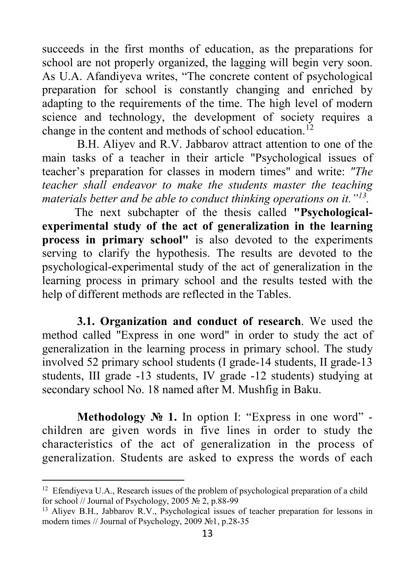succeeds in the first months of education, as the preparations for school are not properly organized, the lagging will begin very soon. As U.A. Afandiyeva writes, "The concrete content of psychological preparation for school is constantly changing and enriched by adapting to the requirements of the time. The high level of modern science and technology, the development of society requires a change in the content and methods of school education.<sup>12</sup>

B.H. Aliyev and R.V. Jabbarov attract attention to one of the main tasks of a teacher in their article "Psychological issues of teacher's preparation for classes in modern times" and write: *"The teacher shall endeavor to make the students master the teaching materials better and be able to conduct thinking operations on it."[13.](#page-12-1)* 

 The next subchapter of the thesis called **"Psychologicalexperimental study of the act of generalization in the learning process in primary school"** is also devoted to the experiments serving to clarify the hypothesis. The results are devoted to the psychological-experimental study of the act of generalization in the learning process in primary school and the results tested with the help of different methods are reflected in the Tables.

**3.1. Organization and conduct of research**. We used the method called "Express in one word" in order to study the act of generalization in the learning process in primary school. The study involved 52 primary school students (I grade-14 students, II grade-13 students, III grade -13 students, IV grade -12 students) studying at secondary school No. 18 named after M. Mushfig in Baku.

**Methodology № 1.** In option I: "Express in one word" children are given words in five lines in order to study the characteristics of the act of generalization in the process of generalization. Students are asked to express the words of each

 $\overline{a}$ 

<span id="page-12-0"></span><sup>&</sup>lt;sup>12</sup> Efendiyeva U.A., Research issues of the problem of psychological preparation of a child for school // Journal of Psychology, 2005  $\overline{\text{Ne}}$  2, p.88-99

<span id="page-12-1"></span><sup>13</sup> Aliyev B.H., Jabbarov R.V., Psychological issues of teacher preparation for lessons in modern times // Journal of Psychology, 2009 №1, p.28-35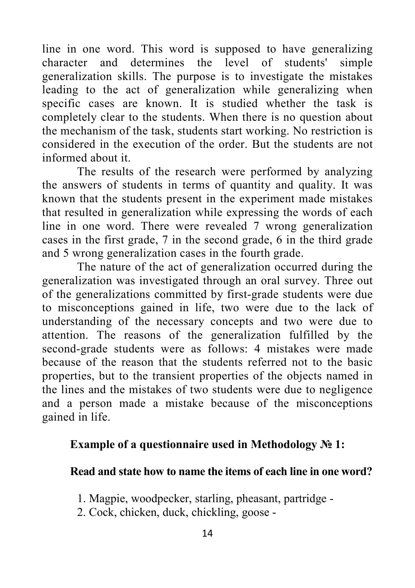line in one word. This word is supposed to have generalizing character and determines the level of students' simple generalization skills. The purpose is to investigate the mistakes leading to the act of generalization while generalizing when specific cases are known. It is studied whether the task is completely clear to the students. When there is no question about the mechanism of the task, students start working. No restriction is considered in the execution of the order. But the students are not informed about it.

The results of the research were performed by analyzing the answers of students in terms of quantity and quality. It was known that the students present in the experiment made mistakes that resulted in generalization while expressing the words of each line in one word. There were revealed 7 wrong generalization cases in the first grade, 7 in the second grade, 6 in the third grade and 5 wrong generalization cases in the fourth grade.

The nature of the act of generalization occurred during the generalization was investigated through an oral survey. Three out of the generalizations committed by first-grade students were due to misconceptions gained in life, two were due to the lack of understanding of the necessary concepts and two were due to attention. The reasons of the generalization fulfilled by the second-grade students were as follows: 4 mistakes were made because of the reason that the students referred not to the basic properties, but to the transient properties of the objects named in the lines and the mistakes of two students were due to negligence and a person made a mistake because of the misconceptions gained in life.

#### **Example of a questionnaire used in Methodology № 1:**

#### **Read and state how to name the items of each line in one word?**

- 1. Magpie, woodpecker, starling, pheasant, partridge -
- 2. Cock, chicken, duck, chickling, goose -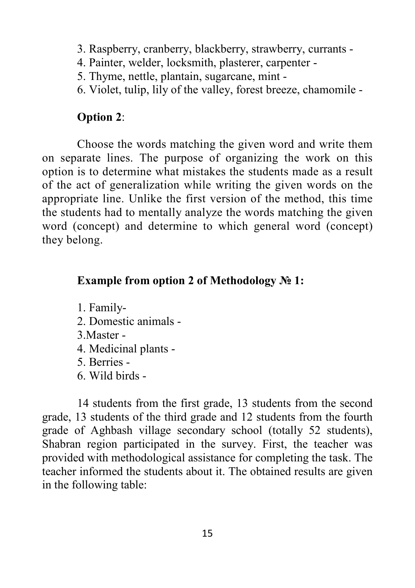- 3. Raspberry, cranberry, blackberry, strawberry, currants -
- 4. Painter, welder, locksmith, plasterer, carpenter -
- 5. Thyme, nettle, plantain, sugarcane, mint -
- 6. Violet, tulip, lily of the valley, forest breeze, chamomile -

### **Option 2**:

Choose the words matching the given word and write them on separate lines. The purpose of organizing the work on this option is to determine what mistakes the students made as a result of the act of generalization while writing the given words on the appropriate line. Unlike the first version of the method, this time the students had to mentally analyze the words matching the given word (concept) and determine to which general word (concept) they belong.

## **Example from option 2 of Methodology № 1:**

1. Family-

- 2. Domestic animals -
- 3.Master -
- 4. Medicinal plants -
- 5. Berries -
- 6. Wild birds -

14 students from the first grade, 13 students from the second grade, 13 students of the third grade and 12 students from the fourth grade of Aghbash village secondary school (totally 52 students), Shabran region participated in the survey. First, the teacher was provided with methodological assistance for completing the task. The teacher informed the students about it. The obtained results are given in the following table: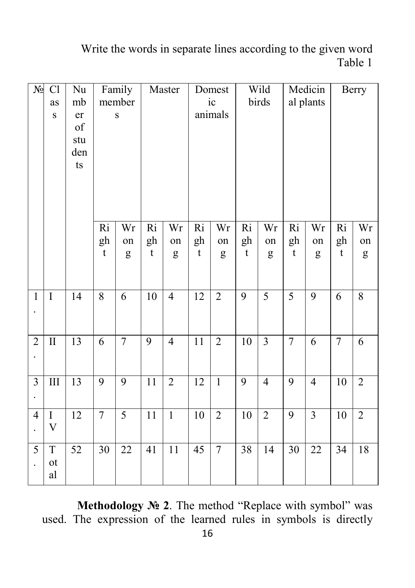## Write the words in separate lines according to the given word Table 1

| $N_{\! \! \! \Omega}$ | Cl<br>as<br>$\bf S$                       | $\rm Nu$<br>mb<br>er<br>of<br>stu<br>den<br>t s | Family<br>member<br>$\bf S$          |                | Master                               |                                   | Domest<br>ic<br>animals              |                | Wild<br>birds                        |                | Medicin<br>al plants                 |                | Berry                                |                       |
|-----------------------|-------------------------------------------|-------------------------------------------------|--------------------------------------|----------------|--------------------------------------|-----------------------------------|--------------------------------------|----------------|--------------------------------------|----------------|--------------------------------------|----------------|--------------------------------------|-----------------------|
|                       |                                           |                                                 | $\overline{Ri}$<br>gh<br>$\mathbf t$ | Wr<br>on<br>g  | $\overline{Ri}$<br>gh<br>$\mathbf t$ | $\overline{\text{Wr}}$<br>on<br>g | $\overline{Ri}$<br>gh<br>$\mathbf t$ | Wr<br>on<br>g  | $\overline{Ri}$<br>gh<br>$\mathbf t$ | Wr<br>on<br>g  | $\overline{Ri}$<br>gh<br>$\mathbf t$ | Wr<br>on<br>g  | $\overline{Ri}$<br>gh<br>$\mathbf t$ | Wr<br>on<br>${\bf g}$ |
| $\mathbf{1}$          | $\mathbf I$                               | 14                                              | $\overline{8}$                       | 6              | $\overline{10}$                      | $\overline{4}$                    | $\overline{12}$                      | $\overline{2}$ | 9                                    | $\overline{5}$ | 5                                    | $\overline{9}$ | 6                                    | $\overline{8}$        |
| $\overline{2}$        | $\rm II$                                  | 13                                              | 6                                    | $\tau$         | 9                                    | $\overline{4}$                    | 11                                   | $\overline{2}$ | 10                                   | $\overline{3}$ | $\overline{7}$                       | 6              | $\tau$                               | 6                     |
| $\overline{3}$        | $\rm III$                                 | 13                                              | 9                                    | 9              | $11\,$                               | $\overline{2}$                    | 12                                   | $\mathbf{1}$   | 9                                    | $\overline{4}$ | 9                                    | $\overline{4}$ | 10                                   | $\overline{2}$        |
| $\overline{4}$        | $\overline{I}$<br>$\overline{\mathbf{V}}$ | $\overline{12}$                                 | $\overline{7}$                       | $\overline{5}$ | 11                                   | $\overline{1}$                    | $10\,$                               | $\overline{2}$ | $10\,$                               | $\overline{2}$ | 9                                    | $\overline{3}$ | 10                                   | $\overline{2}$        |
| 5                     | $\mathbf T$<br>ot<br>$\mathbf{a}$         | 52                                              | 30                                   | 22             | 41                                   | $\overline{11}$                   | 45                                   | $\overline{7}$ | 38                                   | 14             | 30                                   | 22             | 34                                   | 18                    |

**Methodology № 2**. The method "Replace with symbol" was used. The expression of the learned rules in symbols is directly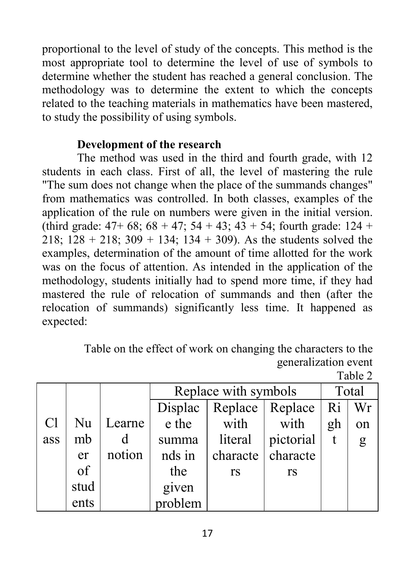proportional to the level of study of the concepts. This method is the most appropriate tool to determine the level of use of symbols to determine whether the student has reached a general conclusion. The methodology was to determine the extent to which the concepts related to the teaching materials in mathematics have been mastered, to study the possibility of using symbols.

## **Development of the research**

The method was used in the third and fourth grade, with 12 students in each class. First of all, the level of mastering the rule "The sum does not change when the place of the summands changes" from mathematics was controlled. In both classes, examples of the application of the rule on numbers were given in the initial version. (third grade:  $47+68$ ;  $68 + 47$ ;  $54 + 43$ ;  $43 + 54$ ; fourth grade:  $124 +$ 218;  $128 + 218$ ;  $309 + 134$ ;  $134 + 309$ ). As the students solved the examples, determination of the amount of time allotted for the work was on the focus of attention. As intended in the application of the methodology, students initially had to spend more time, if they had mastered the rule of relocation of summands and then (after the relocation of summands) significantly less time. It happened as expected:

Table on the effect of work on changing the characters to the generalization event

Table 2

|                |      |        | Replace with symbols |                 | Total             |    |    |
|----------------|------|--------|----------------------|-----------------|-------------------|----|----|
|                |      |        | Displac              | Replace Replace |                   | Ri | Wr |
| C <sub>1</sub> | Nu   | Learne | e the                | with            | with              | gh | on |
| ass            | mb   | d      | summa                | literal         | pictorial         |    | g  |
|                | er   | notion | nds in               |                 | characte characte |    |    |
|                | of   |        | the                  | <b>rs</b>       | <b>rs</b>         |    |    |
|                | stud |        | given<br>problem     |                 |                   |    |    |
|                | ents |        |                      |                 |                   |    |    |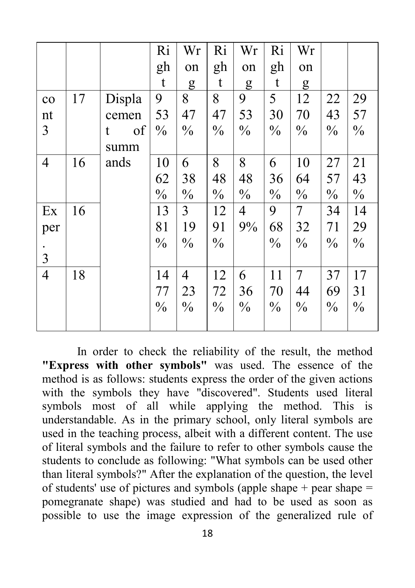|                |    |         | Ri            | Wr            | Ri            | Wr            | Ri            | Wr            |               |               |
|----------------|----|---------|---------------|---------------|---------------|---------------|---------------|---------------|---------------|---------------|
|                |    |         | gh            | on            | gh            | on            | gh            | on            |               |               |
|                |    |         | t             | g             | t             | g             | t             | g             |               |               |
| $\rm{co}$      | 17 | Displa  | 9             | 8             | 8             | 9             | 5             | 12            | 22            | 29            |
| nt             |    | cemen   | 53            | 47            | 47            | 53            | 30            | 70            | 43            | 57            |
| $\mathfrak{Z}$ |    | of<br>t | $\frac{0}{0}$ | $\frac{0}{0}$ | $\frac{0}{0}$ | $\frac{0}{0}$ | $\frac{0}{0}$ | $\frac{0}{0}$ | $\frac{0}{0}$ | $\frac{0}{0}$ |
|                |    | summ    |               |               |               |               |               |               |               |               |
| $\overline{4}$ | 16 | ands    | 10            | 6             | 8             | 8             | 6             | 10            | 27            | 21            |
|                |    |         | 62            | 38            | 48            | 48            | 36            | 64            | 57            | 43            |
|                |    |         | $\frac{0}{0}$ | $\frac{0}{0}$ | $\frac{0}{0}$ | $\frac{0}{0}$ | $\frac{0}{0}$ | $\frac{0}{0}$ | $\frac{0}{0}$ | $\frac{0}{0}$ |
| Ex             | 16 |         | 13            | 3             | 12            | 4             | 9             | 7             | 34            | 14            |
| per            |    |         | 81            | 19            | 91            | 9%            | 68            | 32            | 71            | 29            |
|                |    |         | $\frac{0}{0}$ | $\frac{0}{0}$ | $\frac{0}{0}$ |               | $\frac{0}{0}$ | $\frac{0}{0}$ | $\frac{0}{0}$ | $\frac{0}{0}$ |
| 3              |    |         |               |               |               |               |               |               |               |               |
| $\overline{4}$ | 18 |         | 14            | 4             | 12            | 6             | 11            | 7             | 37            | 17            |
|                |    |         | 77            | 23            | 72            | 36            | 70            | 44            | 69            | 31            |
|                |    |         | $\frac{0}{0}$ | $\frac{0}{0}$ | $\frac{0}{0}$ | $\frac{0}{0}$ | $\frac{0}{0}$ | $\frac{0}{0}$ | $\frac{0}{0}$ | $\frac{0}{0}$ |
|                |    |         |               |               |               |               |               |               |               |               |

In order to check the reliability of the result, the method **"Express with other symbols"** was used. The essence of the method is as follows: students express the order of the given actions with the symbols they have "discovered". Students used literal symbols most of all while applying the method. This is understandable. As in the primary school, only literal symbols are used in the teaching process, albeit with a different content. The use of literal symbols and the failure to refer to other symbols cause the students to conclude as following: "What symbols can be used other than literal symbols?" After the explanation of the question, the level of students' use of pictures and symbols (apple shape  $+$  pear shape  $=$ pomegranate shape) was studied and had to be used as soon as possible to use the image expression of the generalized rule of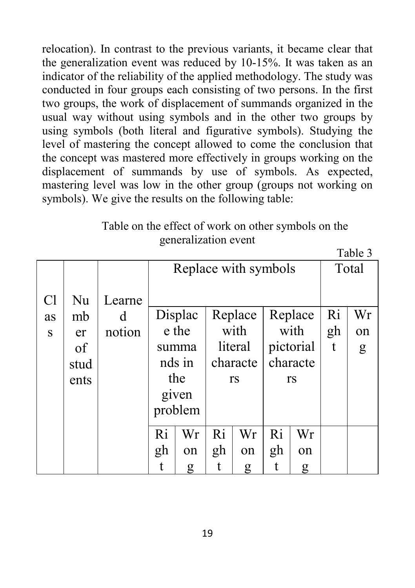relocation). In contrast to the previous variants, it became clear that the generalization event was reduced by 10-15%. It was taken as an indicator of the reliability of the applied methodology. The study was conducted in four groups each consisting of two persons. In the first two groups, the work of displacement of summands organized in the usual way without using symbols and in the other two groups by using symbols (both literal and figurative symbols). Studying the level of mastering the concept allowed to come the conclusion that the concept was mastered more effectively in groups working on the displacement of summands by use of symbols. As expected, mastering level was low in the other group (groups not working on symbols). We give the results on the following table:

# Table on the effect of work on other symbols on the generalization event

 $T_0 h l_0$   $2$ 

|                |      |        | ر uulu  |         |                      |         |    |           |    |       |  |  |
|----------------|------|--------|---------|---------|----------------------|---------|----|-----------|----|-------|--|--|
|                |      |        |         |         | Replace with symbols |         |    |           |    | Total |  |  |
| C <sub>1</sub> | Nu   | Learne |         |         |                      |         |    |           |    |       |  |  |
| as             | mb   | d      |         | Displac |                      | Replace |    | Replace   | Ri | Wr    |  |  |
| S              | er   | notion |         | e the   |                      | with    |    | with      |    | on    |  |  |
|                | of   |        | summa   |         |                      | literal |    | pictorial | t  | g     |  |  |
|                | stud |        | nds in  |         | characte             |         |    | characte  |    |       |  |  |
|                | ents |        | the     |         | rs                   |         |    | rs        |    |       |  |  |
|                |      |        | given   |         |                      |         |    |           |    |       |  |  |
|                |      |        | problem |         |                      |         |    |           |    |       |  |  |
|                |      |        | Ri      | Wr      | Ri                   | Wr      | Ri | Wr        |    |       |  |  |
|                |      |        | gh      | on      | gh                   | on      | gh | on        |    |       |  |  |
|                |      |        | t       | g       | t                    | g       | t  | g         |    |       |  |  |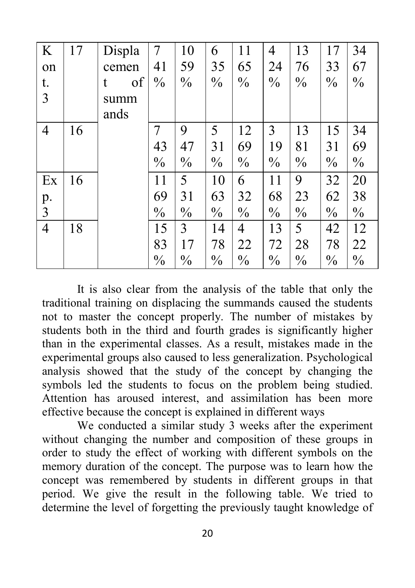| K              | 17 | Displa  | 7             | 10            | 6             | 11            | $\overline{4}$ | 13            | 17            | 34            |
|----------------|----|---------|---------------|---------------|---------------|---------------|----------------|---------------|---------------|---------------|
| on             |    | cemen   | 41            | 59            | 35            | 65            | 24             | 76            | 33            | 67            |
| t.             |    | of<br>t | $\frac{0}{0}$ | $\frac{0}{0}$ | $\frac{0}{0}$ | $\frac{0}{0}$ | $\frac{0}{0}$  | $\frac{0}{0}$ | $\frac{0}{0}$ | $\frac{0}{0}$ |
| 3              |    | summ    |               |               |               |               |                |               |               |               |
|                |    | ands    |               |               |               |               |                |               |               |               |
| $\overline{4}$ | 16 |         | 7             | 9             | 5             | 12            | 3              | 13            | 15            | 34            |
|                |    |         | 43            | 47            | 31            | 69            | 19             | 81            | 31            | 69            |
|                |    |         | $\frac{0}{0}$ | $\frac{0}{0}$ | $\frac{0}{0}$ | $\frac{0}{0}$ | $\frac{0}{0}$  | $\frac{0}{0}$ | $\frac{0}{0}$ | $\frac{0}{0}$ |
| Ex             | 16 |         | 11            | 5             | 10            | 6             | 11             | 9             | 32            | 20            |
|                |    |         | 69            | 31            | 63            | 32            | 68             | 23            | 62            | 38            |
| p.<br>3        |    |         | $\frac{0}{0}$ | $\frac{0}{0}$ | $\frac{0}{0}$ | $\frac{0}{0}$ | $\frac{0}{0}$  | $\frac{0}{0}$ | $\frac{0}{0}$ | $\frac{0}{0}$ |
| $\overline{4}$ | 18 |         | 15            | 3             | 14            | 4             | 13             | 5             | 42            | 12            |
|                |    |         | 83            | 17            | 78            | 22            | 72             | 28            | 78            | 22            |
|                |    |         | $\frac{0}{0}$ | $\frac{0}{0}$ | $\frac{0}{0}$ | $\frac{0}{0}$ | $\frac{0}{0}$  | $\frac{0}{0}$ | $\frac{0}{0}$ | $\frac{0}{0}$ |

It is also clear from the analysis of the table that only the traditional training on displacing the summands caused the students not to master the concept properly. The number of mistakes by students both in the third and fourth grades is significantly higher than in the experimental classes. As a result, mistakes made in the experimental groups also caused to less generalization. Psychological analysis showed that the study of the concept by changing the symbols led the students to focus on the problem being studied. Attention has aroused interest, and assimilation has been more effective because the concept is explained in different ways

We conducted a similar study 3 weeks after the experiment without changing the number and composition of these groups in order to study the effect of working with different symbols on the memory duration of the concept. The purpose was to learn how the concept was remembered by students in different groups in that period. We give the result in the following table. We tried to determine the level of forgetting the previously taught knowledge of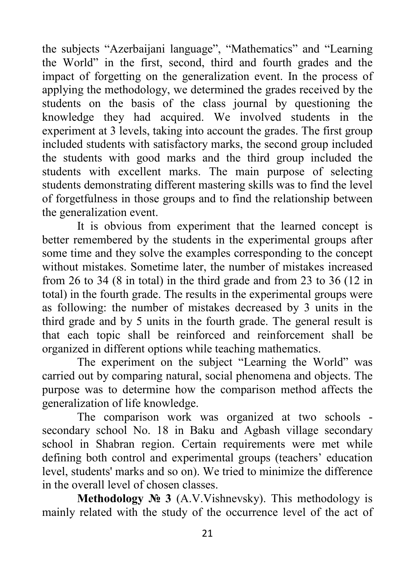the subjects "Azerbaijani language", "Mathematics" and "Learning the World" in the first, second, third and fourth grades and the impact of forgetting on the generalization event. In the process of applying the methodology, we determined the grades received by the students on the basis of the class journal by questioning the knowledge they had acquired. We involved students in the experiment at 3 levels, taking into account the grades. The first group included students with satisfactory marks, the second group included the students with good marks and the third group included the students with excellent marks. The main purpose of selecting students demonstrating different mastering skills was to find the level of forgetfulness in those groups and to find the relationship between the generalization event.

It is obvious from experiment that the learned concept is better remembered by the students in the experimental groups after some time and they solve the examples corresponding to the concept without mistakes. Sometime later, the number of mistakes increased from 26 to 34 (8 in total) in the third grade and from 23 to 36 (12 in total) in the fourth grade. The results in the experimental groups were as following: the number of mistakes decreased by 3 units in the third grade and by 5 units in the fourth grade. The general result is that each topic shall be reinforced and reinforcement shall be organized in different options while teaching mathematics.

The experiment on the subject "Learning the World" was carried out by comparing natural, social phenomena and objects. The purpose was to determine how the comparison method affects the generalization of life knowledge.

The comparison work was organized at two schools secondary school No. 18 in Baku and Agbash village secondary school in Shabran region. Certain requirements were met while defining both control and experimental groups (teachers' education level, students' marks and so on). We tried to minimize the difference in the overall level of chosen classes.

**Methodology № 3** (A.V.Vishnevsky). This methodology is mainly related with the study of the occurrence level of the act of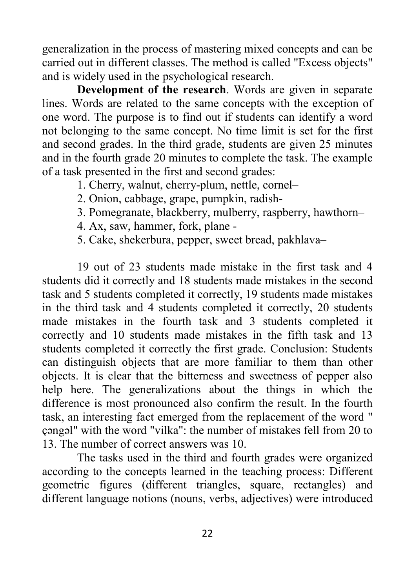generalization in the process of mastering mixed concepts and can be carried out in different classes. The method is called "Excess objects" and is widely used in the psychological research.

**Development of the research.** Words are given in separate lines. Words are related to the same concepts with the exception of one word. The purpose is to find out if students can identify a word not belonging to the same concept. No time limit is set for the first and second grades. In the third grade, students are given 25 minutes and in the fourth grade 20 minutes to complete the task. The example of a task presented in the first and second grades:

1. Cherry, walnut, cherry-plum, nettle, cornel–

- 2. Onion, cabbage, grape, pumpkin, radish-
- 3. Pomegranate, blackberry, mulberry, raspberry, hawthorn–
- 4. Ax, saw, hammer, fork, plane -
- 5. Cake, shekerbura, pepper, sweet bread, pakhlava–

19 out of 23 students made mistake in the first task and 4 students did it correctly and 18 students made mistakes in the second task and 5 students completed it correctly, 19 students made mistakes in the third task and 4 students completed it correctly, 20 students made mistakes in the fourth task and 3 students completed it correctly and 10 students made mistakes in the fifth task and 13 students completed it correctly the first grade. Conclusion: Students can distinguish objects that are more familiar to them than other objects. It is clear that the bitterness and sweetness of pepper also help here. The generalizations about the things in which the difference is most pronounced also confirm the result. In the fourth task, an interesting fact emerged from the replacement of the word " çəngəl" with the word "vilka": the number of mistakes fell from 20 to 13. The number of correct answers was 10.

The tasks used in the third and fourth grades were organized according to the concepts learned in the teaching process: Different geometric figures (different triangles, square, rectangles) and different language notions (nouns, verbs, adjectives) were introduced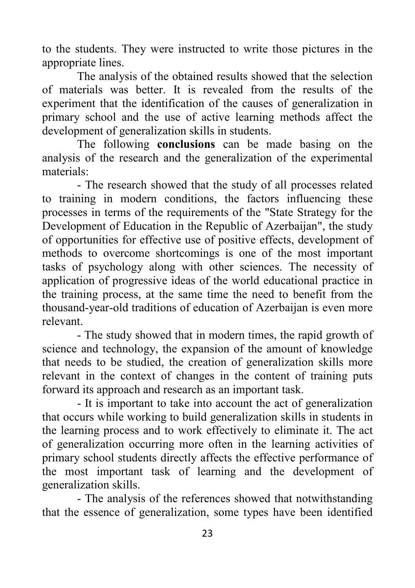to the students. They were instructed to write those pictures in the appropriate lines.

The analysis of the obtained results showed that the selection of materials was better. It is revealed from the results of the experiment that the identification of the causes of generalization in primary school and the use of active learning methods affect the development of generalization skills in students.

The following **conclusions** can be made basing on the analysis of the research and the generalization of the experimental materials:

- The research showed that the study of all processes related to training in modern conditions, the factors influencing these processes in terms of the requirements of the "State Strategy for the Development of Education in the Republic of Azerbaijan", the study of opportunities for effective use of positive effects, development of methods to overcome shortcomings is one of the most important tasks of psychology along with other sciences. The necessity of application of progressive ideas of the world educational practice in the training process, at the same time the need to benefit from the thousand-year-old traditions of education of Azerbaijan is even more relevant.

- The study showed that in modern times, the rapid growth of science and technology, the expansion of the amount of knowledge that needs to be studied, the creation of generalization skills more relevant in the context of changes in the content of training puts forward its approach and research as an important task.

- It is important to take into account the act of generalization that occurs while working to build generalization skills in students in the learning process and to work effectively to eliminate it. The act of generalization occurring more often in the learning activities of primary school students directly affects the effective performance of the most important task of learning and the development of generalization skills.

- The analysis of the references showed that notwithstanding that the essence of generalization, some types have been identified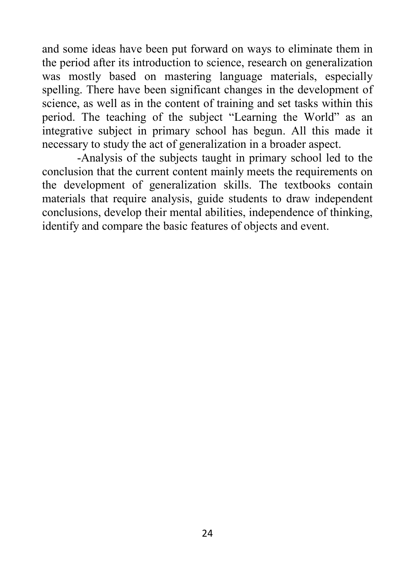and some ideas have been put forward on ways to eliminate them in the period after its introduction to science, research on generalization was mostly based on mastering language materials, especially spelling. There have been significant changes in the development of science, as well as in the content of training and set tasks within this period. The teaching of the subject "Learning the World" as an integrative subject in primary school has begun. All this made it necessary to study the act of generalization in a broader aspect.

-Analysis of the subjects taught in primary school led to the conclusion that the current content mainly meets the requirements on the development of generalization skills. The textbooks contain materials that require analysis, guide students to draw independent conclusions, develop their mental abilities, independence of thinking, identify and compare the basic features of objects and event.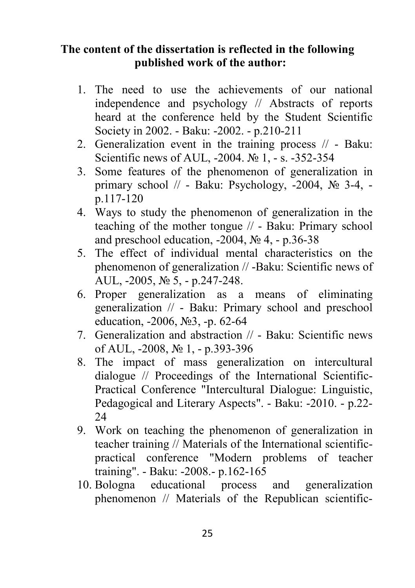### **The content of the dissertation is reflected in the following published work of the author:**

- 1. The need to use the achievements of our national independence and psychology // Abstracts of reports heard at the conference held by the Student Scientific Society in 2002. - Baku: -2002. - p.210-211
- 2. Generalization event in the training process // Baku: Scientific news of AUL, -2004. № 1, - s. -352-354
- 3. Some features of the phenomenon of generalization in primary school // - Baku: Psychology, -2004, № 3-4, p.117-120
- 4. Ways to study the phenomenon of generalization in the teaching of the mother tongue // - Baku: Primary school and preschool education,  $-2004$ ,  $\mathbb{N}$ <sup>o</sup> 4,  $-$  p.36-38
- 5. The effect of individual mental characteristics on the phenomenon of generalization // -Baku: Scientific news of AUL, -2005, № 5, - p.247-248.
- 6. Proper generalization as a means of eliminating generalization // - Baku: Primary school and preschool education, -2006, №3, -p. 62-64
- 7. Generalization and abstraction // Baku: Scientific news of AUL, -2008, № 1, - p.393-396
- 8. The impact of mass generalization on intercultural dialogue // Proceedings of the International Scientific-Practical Conference "Intercultural Dialogue: Linguistic, Pedagogical and Literary Aspects". - Baku: -2010. - p.22- 24
- 9. Work on teaching the phenomenon of generalization in teacher training // Materials of the International scientificpractical conference "Modern problems of teacher training". - Baku: -2008.- p.162-165
- 10. Bologna educational process and generalization phenomenon // Materials of the Republican scientific-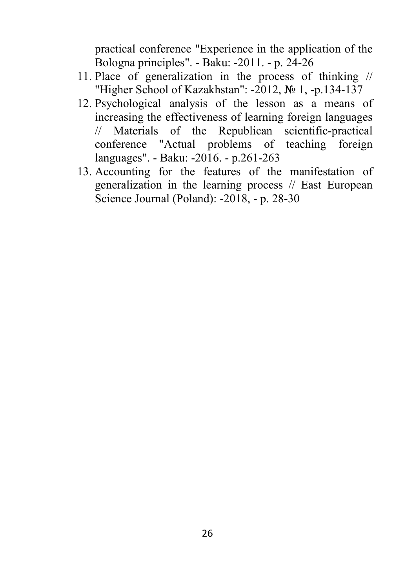practical conference "Experience in the application of the Bologna principles". - Baku: -2011. - p. 24-26

- 11. Place of generalization in the process of thinking // "Higher School of Kazakhstan": -2012, № 1, -p.134-137
- 12. Psychological analysis of the lesson as a means of increasing the effectiveness of learning foreign languages // Materials of the Republican scientific-practical conference "Actual problems of teaching foreign languages". - Baku: -2016. - p.261-263
- 13. Accounting for the features of the manifestation of generalization in the learning process // East European Science Journal (Poland): -2018, - p. 28-30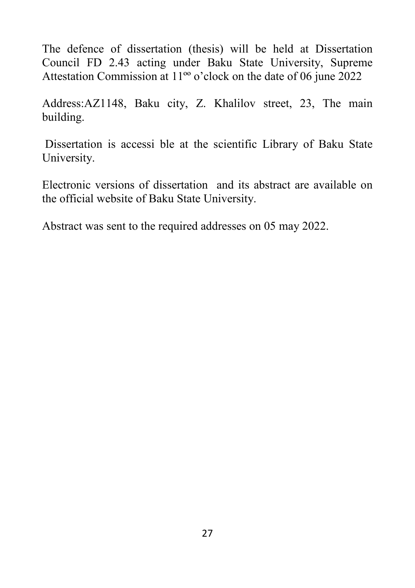The defence of dissertation (thesis) will be held at Dissertation Council FD 2.43 acting under Baku State University, Supreme Attestation Commission at 11ºº o'clock on the date of 06 june 2022

Address:AZ1148, Baku city, Z. Khalilov street, 23, The main building.

Dissertation is accessi ble at the scientific Library of Baku State University.

Electronic versions of dissertation and its abstract are available on the official website of Baku State University.

Abstract was sent to the required addresses on 05 may 2022.